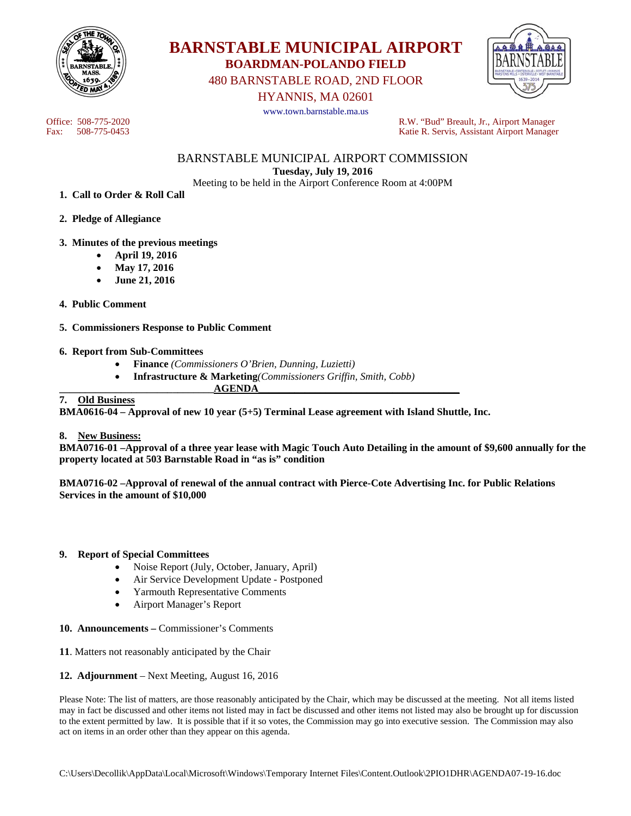



480 BARNSTABLE ROAD, 2ND FLOOR

HYANNIS, MA 02601

www.town.barnstable.ma.us



Office: 508-775-2020 R.W. "Bud" Breault, Jr., Airport Manager Katie R. Servis, Assistant Airport Manager

> BARNSTABLE MUNICIPAL AIRPORT COMMISSION **Tuesday, July 19, 2016**

Meeting to be held in the Airport Conference Room at 4:00PM

- **1. Call to Order & Roll Call**
- **2. Pledge of Allegiance**
- **3. Minutes of the previous meetings** 
	- **April 19, 2016**
	- **May 17, 2016**
	- **June 21, 2016**
- **4. Public Comment**
- **5. Commissioners Response to Public Comment**

### **6. Report from Sub-Committees**

- **Finance** *(Commissioners O'Brien, Dunning, Luzietti)*
- **Infrastructure & Marketing***(Commissioners Griffin, Smith, Cobb)*
- **\_\_\_\_\_\_\_\_\_\_\_\_\_\_\_\_\_\_\_\_\_\_\_\_\_\_\_\_\_\_AGENDA\_\_\_\_\_\_\_\_\_\_\_\_\_\_\_\_\_\_\_\_\_\_\_\_\_\_\_\_\_\_\_\_\_\_\_\_\_\_\_ 7. Old Business**

**BMA0616-04 – Approval of new 10 year (5+5) Terminal Lease agreement with Island Shuttle, Inc.** 

### **8. New Business:**

**BMA0716-01 –Approval of a three year lease with Magic Touch Auto Detailing in the amount of \$9,600 annually for the property located at 503 Barnstable Road in "as is" condition** 

**BMA0716-02 –Approval of renewal of the annual contract with Pierce-Cote Advertising Inc. for Public Relations Services in the amount of \$10,000** 

### **9. Report of Special Committees**

- Noise Report (July, October, January, April)
- Air Service Development Update Postponed
- Yarmouth Representative Comments
- Airport Manager's Report
- **10. Announcements** Commissioner's Comments
- **11**. Matters not reasonably anticipated by the Chair
- **12. Adjournment** Next Meeting, August 16, 2016

Please Note: The list of matters, are those reasonably anticipated by the Chair, which may be discussed at the meeting. Not all items listed may in fact be discussed and other items not listed may in fact be discussed and other items not listed may also be brought up for discussion to the extent permitted by law. It is possible that if it so votes, the Commission may go into executive session. The Commission may also act on items in an order other than they appear on this agenda.